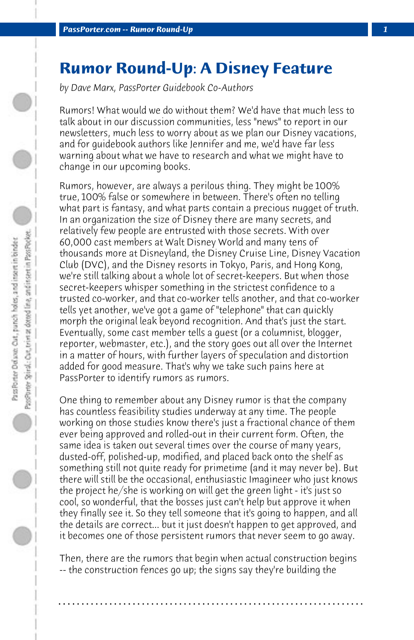## **Rumor Round-Up: A Disney Feature**

*by Dave Marx, PassPorter Guidebook Co-Authors*

Rumors! What would we do without them? We'd have that much less to talk about in our discussion communities, less "news" to report in our newsletters, much less to worry about as we plan our Disney vacations, and for guidebook authors like Jennifer and me, we'd have far less warning about what we have to research and what we might have to change in our upcoming books.

Rumors, however, are always a perilous thing. They might be 100% true, 100% false or somewhere in between. There's often no telling what part is fantasy, and what parts contain a precious nugget of truth. In an organization the size of Disney there are many secrets, and relatively few people are entrusted with those secrets. With over 60,000 cast members at Walt Disney World and many tens of thousands more at Disneyland, the Disney Cruise Line, Disney Vacation Club (DVC), and the Disney resorts in Tokyo, Paris, and Hong Kong, we're still talking about a whole lot of secret-keepers. But when those secret-keepers whisper something in the strictest confidence to a trusted co-worker, and that co-worker tells another, and that co-worker tells yet another, we've got a game of "telephone" that can quickly morph the original leak beyond recognition. And that's just the start. Eventually, some cast member tells a guest (or a columnist, blogger, reporter, webmaster, etc.), and the story goes out all over the Internet in a matter of hours, with further layers of speculation and distortion added for good measure. That's why we take such pains here at PassPorter to identify rumors as rumors.

One thing to remember about any Disney rumor is that the company has countless feasibility studies underway at any time. The people working on those studies know there's just a fractional chance of them ever being approved and rolled-out in their current form. Often, the same idea is taken out several times over the course of many years, dusted-off, polished-up, modified, and placed back onto the shelf as something still not quite ready for primetime (and it may never be). But there will still be the occasional, enthusiastic Imagineer who just knows the project he/she is working on will get the green light - it's just so cool, so wonderful, that the bosses just can't help but approve it when they finally see it. So they tell someone that it's going to happen, and all the details are correct... but it just doesn't happen to get approved, and it becomes one of those persistent rumors that never seem to go away.

Then, there are the rumors that begin when actual construction begins -- the construction fences go up; the signs say they're building the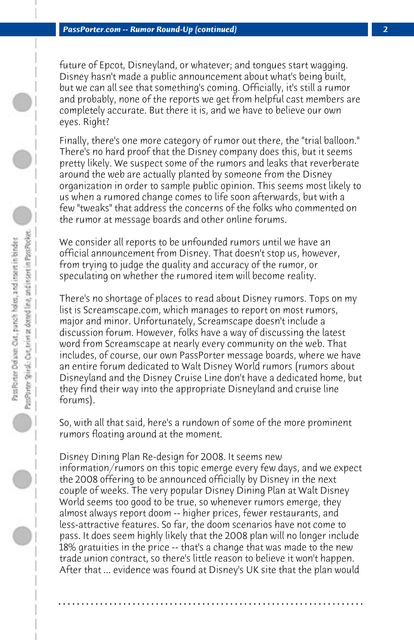future of Epcot, Disneyland, or whatever; and tongues start wagging. Disney hasn't made a public announcement about what's being built, but we can all see that something's coming. Officially, it's still a rumor and probably, none of the reports we get from helpful cast members are completely accurate. But there it is, and we have to believe our own eyes. Right?

Finally, there's one more category of rumor out there, the "trial balloon." There's no hard proof that the Disney company does this, but it seems pretty likely. We suspect some of the rumors and leaks that reverberate around the web are actually planted by someone from the Disney organization in order to sample public opinion. This seems most likely to us when a rumored change comes to life soon afterwards, but with a few "tweaks" that address the concerns of the folks who commented on the rumor at message boards and other online forums.

We consider all reports to be unfounded rumors until we have an official announcement from Disney. That doesn't stop us, however, from trying to judge the quality and accuracy of the rumor, or speculating on whether the rumored item will become reality.

There's no shortage of places to read about Disney rumors. Tops on my list is Screamscape.com, which manages to report on most rumors, major and minor. Unfortunately, Screamscape doesn't include a discussion forum. However, folks have a way of discussing the latest word from Screamscape at nearly every community on the web. That includes, of course, our own PassPorter message boards, where we have an entire forum dedicated to Walt Disney World rumors (rumors about Disneyland and the Disney Cruise Line don't have a dedicated home, but they find their way into the appropriate Disneyland and cruise line forums).

So, with all that said, here's a rundown of some of the more prominent rumors floating around at the moment.

Disney Dining Plan Re-design for 2008. It seems new information/rumors on this topic emerge every few days, and we expect the 2008 offering to be announced officially by Disney in the next couple of weeks. The very popular Disney Dining Plan at Walt Disney World seems too good to be true, so whenever rumors emerge, they almost always report doom -- higher prices, fewer restaurants, and less-attractive features. So far, the doom scenarios have not come to pass. It does seem highly likely that the 2008 plan will no longer include 18% gratuities in the price -- that's a change that was made to the new trade union contract, so there's little reason to believe it won't happen. After that ... evidence was found at Disney's UK site that the plan would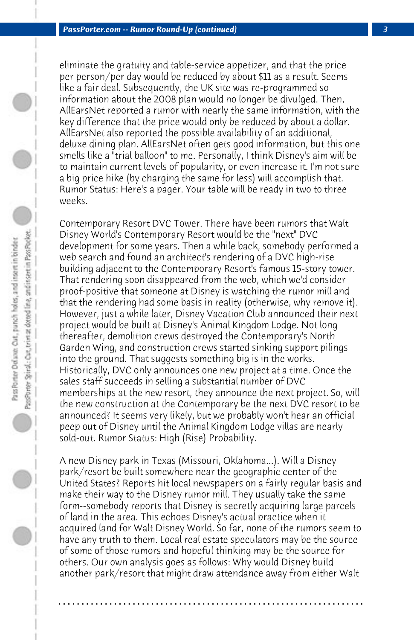eliminate the gratuity and table-service appetizer, and that the price per person/per day would be reduced by about \$11 as a result. Seems like a fair deal. Subsequently, the UK site was re-programmed so information about the 2008 plan would no longer be divulged. Then, AllEarsNet reported a rumor with nearly the same information, with the key difference that the price would only be reduced by about a dollar. AllEarsNet also reported the possible availability of an additional, deluxe dining plan. AllEarsNet often gets good information, but this one smells like a "trial balloon" to me. Personally, I think Disney's aim will be to maintain current levels of popularity, or even increase it. I'm not sure a big price hike (by charging the same for less) will accomplish that. Rumor Status: Here's a pager. Your table will be ready in two to three weeks.

Contemporary Resort DVC Tower. There have been rumors that Walt Disney World's Contemporary Resort would be the "next" DVC development for some years. Then a while back, somebody performed a web search and found an architect's rendering of a DVC high-rise building adjacent to the Contemporary Resort's famous 15-story tower. That rendering soon disappeared from the web, which we'd consider proof-positive that someone at Disney is watching the rumor mill and that the rendering had some basis in reality (otherwise, why remove it). However, just a while later, Disney Vacation Club announced their next project would be built at Disney's Animal Kingdom Lodge. Not long thereafter, demolition crews destroyed the Contemporary's North Garden Wing, and construction crews started sinking support pilings into the ground. That suggests something big is in the works. Historically, DVC only announces one new project at a time. Once the sales staff succeeds in selling a substantial number of DVC memberships at the new resort, they announce the next project. So, will the new construction at the Contemporary be the next DVC resort to be announced? It seems very likely, but we probably won't hear an official peep out of Disney until the Animal Kingdom Lodge villas are nearly sold-out. Rumor Status: High (Rise) Probability.

A new Disney park in Texas (Missouri, Oklahoma...). Will a Disney park/resort be built somewhere near the geographic center of the United States? Reports hit local newspapers on a fairly regular basis and make their way to the Disney rumor mill. They usually take the same form--somebody reports that Disney is secretly acquiring large parcels of land in the area. This echoes Disney's actual practice when it acquired land for Walt Disney World. So far, none of the rumors seem to have any truth to them. Local real estate speculators may be the source of some of those rumors and hopeful thinking may be the source for others. Our own analysis goes as follows: Why would Disney build another park/resort that might draw attendance away from either Walt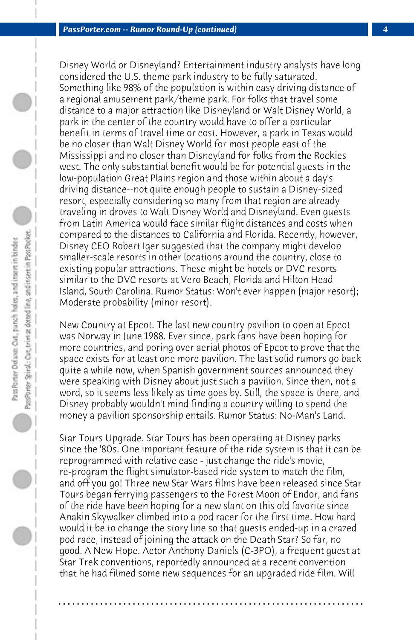Disney World or Disneyland? Entertainment industry analysts have long considered the U.S. theme park industry to be fully saturated. Something like 98% of the population is within easy driving distance of a regional amusement park/theme park. For folks that travel some distance to a major attraction like Disneyland or Walt Disney World, a park in the center of the country would have to offer a particular benefit in terms of travel time or cost. However, a park in Texas would be no closer than Walt Disney World for most people east of the Mississippi and no closer than Disneyland for folks from the Rockies west. The only substantial benefit would be for potential guests in the low-population Great Plains region and those within about a day's driving distance--not quite enough people to sustain a Disney-sized resort, especially considering so many from that region are already traveling in droves to Walt Disney World and Disneyland. Even guests from Latin America would face similar flight distances and costs when compared to the distances to California and Florida. Recently, however, Disney CEO Robert Iger suggested that the company might develop smaller-scale resorts in other locations around the country, close to existing popular attractions. These might be hotels or DVC resorts similar to the DVC resorts at Vero Beach, Florida and Hilton Head Island, South Carolina. Rumor Status: Won't ever happen (major resort); Moderate probability (minor resort).

New Country at Epcot. The last new country pavilion to open at Epcot was Norway in June 1988. Ever since, park fans have been hoping for more countries, and poring over aerial photos of Epcot to prove that the space exists for at least one more pavilion. The last solid rumors go back quite a while now, when Spanish government sources announced they were speaking with Disney about just such a pavilion. Since then, not a word, so it seems less likely as time goes by. Still, the space is there, and Disney probably wouldn't mind finding a country willing to spend the money a pavilion sponsorship entails. Rumor Status: No-Man's Land.

Star Tours Upgrade. Star Tours has been operating at Disney parks since the '80s. One important feature of the ride system is that it can be reprogrammed with relative ease - just change the ride's movie, re-program the flight simulator-based ride system to match the film, and off you go! Three new Star Wars films have been released since Star Tours began ferrying passengers to the Forest Moon of Endor, and fans of the ride have been hoping for a new slant on this old favorite since Anakin Skywalker climbed into a pod racer for the first time. How hard would it be to change the story line so that guests ended-up in a crazed pod race, instead of joining the attack on the Death Star? So far, no good. A New Hope. Actor Anthony Daniels (C-3PO), a frequent guest at Star Trek conventions, reportedly announced at a recent convention that he had filmed some new sequences for an upgraded ride film. Will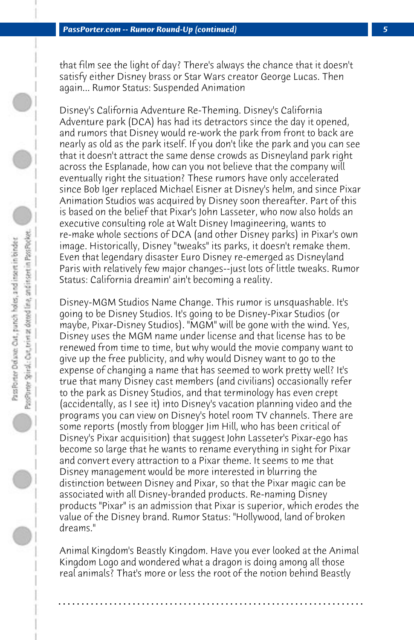that film see the light of day? There's always the chance that it doesn't satisfy either Disney brass or Star Wars creator George Lucas. Then again... Rumor Status: Suspended Animation

Disney's California Adventure Re-Theming. Disney's California Adventure park (DCA) has had its detractors since the day it opened, and rumors that Disney would re-work the park from front to back are nearly as old as the park itself. If you don't like the park and you can see that it doesn't attract the same dense crowds as Disneyland park right across the Esplanade, how can you not believe that the company will eventually right the situation? These rumors have only accelerated since Bob Iger replaced Michael Eisner at Disney's helm, and since Pixar Animation Studios was acquired by Disney soon thereafter. Part of this is based on the belief that Pixar's John Lasseter, who now also holds an executive consulting role at Walt Disney Imagineering, wants to re-make whole sections of DCA (and other Disney parks) in Pixar's own image. Historically, Disney "tweaks" its parks, it doesn't remake them. Even that legendary disaster Euro Disney re-emerged as Disneyland Paris with relatively few major changes--just lots of little tweaks. Rumor Status: California dreamin' ain't becoming a reality.

Disney-MGM Studios Name Change. This rumor is unsquashable. It's going to be Disney Studios. It's going to be Disney-Pixar Studios (or maybe, Pixar-Disney Studios). "MGM" will be gone with the wind. Yes, Disney uses the MGM name under license and that license has to be renewed from time to time, but why would the movie company want to give up the free publicity, and why would Disney want to go to the expense of changing a name that has seemed to work pretty well? It's true that many Disney cast members (and civilians) occasionally refer to the park as Disney Studios, and that terminology has even crept (accidentally, as I see it) into Disney's vacation planning video and the programs you can view on Disney's hotel room TV channels. There are some reports (mostly from blogger Jim Hill, who has been critical of Disney's Pixar acquisition) that suggest John Lasseter's Pixar-ego has become so large that he wants to rename everything in sight for Pixar and convert every attraction to a Pixar theme. It seems to me that Disney management would be more interested in blurring the distinction between Disney and Pixar, so that the Pixar magic can be associated with all Disney-branded products. Re-naming Disney products "Pixar" is an admission that Pixar is superior, which erodes the value of the Disney brand. Rumor Status: "Hollywood, land of broken dreams."

Animal Kingdom's Beastly Kingdom. Have you ever looked at the Animal Kingdom Logo and wondered what a dragon is doing among all those real animals? That's more or less the root of the notion behind Beastly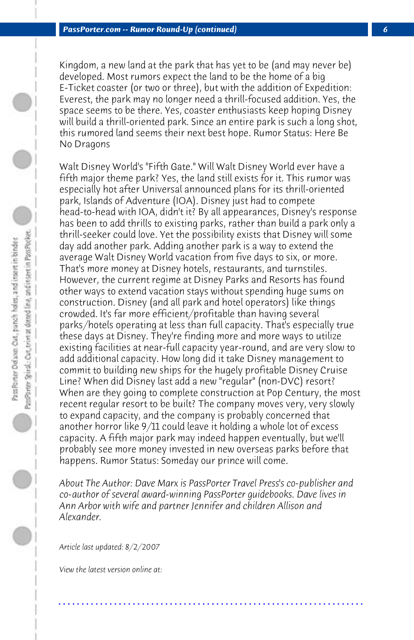Kingdom, a new land at the park that has yet to be (and may never be) developed. Most rumors expect the land to be the home of a big E-Ticket coaster (or two or three), but with the addition of Expedition: Everest, the park may no longer need a thrill-focused addition. Yes, the space seems to be there. Yes, coaster enthusiasts keep hoping Disney will build a thrill-oriented park. Since an entire park is such a long shot, this rumored land seems their next best hope. Rumor Status: Here Be No Dragons

Walt Disney World's "Fifth Gate." Will Walt Disney World ever have a fifth major theme park? Yes, the land still exists for it. This rumor was especially hot after Universal announced plans for its thrill-oriented park, Islands of Adventure (IOA). Disney just had to compete head-to-head with IOA, didn't it? By all appearances, Disney's response has been to add thrills to existing parks, rather than build a park only a thrill-seeker could love. Yet the possibility exists that Disney will some day add another park. Adding another park is a way to extend the average Walt Disney World vacation from five days to six, or more. That's more money at Disney hotels, restaurants, and turnstiles. However, the current regime at Disney Parks and Resorts has found other ways to extend vacation stays without spending huge sums on construction. Disney (and all park and hotel operators) like things crowded. It's far more efficient/profitable than having several parks/hotels operating at less than full capacity. That's especially true these days at Disney. They're finding more and more ways to utilize existing facilities at near-full capacity year-round, and are very slow to add additional capacity. How long did it take Disney management to commit to building new ships for the hugely profitable Disney Cruise Line? When did Disney last add a new "regular" (non-DVC) resort? When are they going to complete construction at Pop Century, the most recent regular resort to be built? The company moves very, very slowly to expand capacity, and the company is probably concerned that another horror like 9/11 could leave it holding a whole lot of excess capacity. A fifth major park may indeed happen eventually, but we'll probably see more money invested in new overseas parks before that happens. Rumor Status: Someday our prince will come.

*About The Author: Dave Marx is PassPorter Travel Press's co-publisher and co-author of several award-winning PassPorter guidebooks. Dave lives in Ann Arbor with wife and partner Jennifer and children Allison and Alexander.*

**. . . . . . . . . . . . . . . . . . . . . . . . . . . . . . . . . . . . . . . . . . . . . . . . . . . . . . . . . . . . . . . . . .**

*Article last updated: 8/2/2007*

*View the latest version online at:*